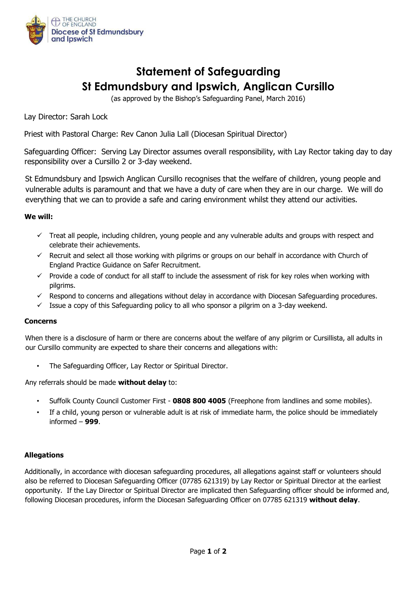

# **Statement of Safeguarding St Edmundsbury and Ipswich, Anglican Cursillo**

(as approved by the Bishop's Safeguarding Panel, March 2016)

Lay Director: Sarah Lock

Priest with Pastoral Charge: Rev Canon Julia Lall (Diocesan Spiritual Director)

Safeguarding Officer: Serving Lay Director assumes overall responsibility, with Lay Rector taking day to day responsibility over a Cursillo 2 or 3-day weekend.

St Edmundsbury and Ipswich Anglican Cursillo recognises that the welfare of children, young people and vulnerable adults is paramount and that we have a duty of care when they are in our charge. We will do everything that we can to provide a safe and caring environment whilst they attend our activities.

#### **We will:**

- $\checkmark$  Treat all people, including children, young people and any vulnerable adults and groups with respect and celebrate their achievements.
- $\checkmark$  Recruit and select all those working with pilgrims or groups on our behalf in accordance with Church of England Practice Guidance on Safer Recruitment.
- $\checkmark$  Provide a code of conduct for all staff to include the assessment of risk for key roles when working with pilgrims.
- $\checkmark$  Respond to concerns and allegations without delay in accordance with Diocesan Safeguarding procedures.
- $\checkmark$  Issue a copy of this Safeguarding policy to all who sponsor a pilgrim on a 3-day weekend.

#### **Concerns**

When there is a disclosure of harm or there are concerns about the welfare of any pilgrim or Cursillista, all adults in our Cursillo community are expected to share their concerns and allegations with:

The Safeguarding Officer, Lay Rector or Spiritual Director.

Any referrals should be made **without delay** to:

- Suffolk County Council Customer First **0808 800 4005** (Freephone from landlines and some mobiles).
- If a child, young person or vulnerable adult is at risk of immediate harm, the police should be immediately informed – **999**.

## **Allegations**

Additionally, in accordance with diocesan safeguarding procedures, all allegations against staff or volunteers should also be referred to Diocesan Safeguarding Officer (07785 621319) by Lay Rector or Spiritual Director at the earliest opportunity. If the Lay Director or Spiritual Director are implicated then Safeguarding officer should be informed and, following Diocesan procedures, inform the Diocesan Safeguarding Officer on 07785 621319 **without delay**.